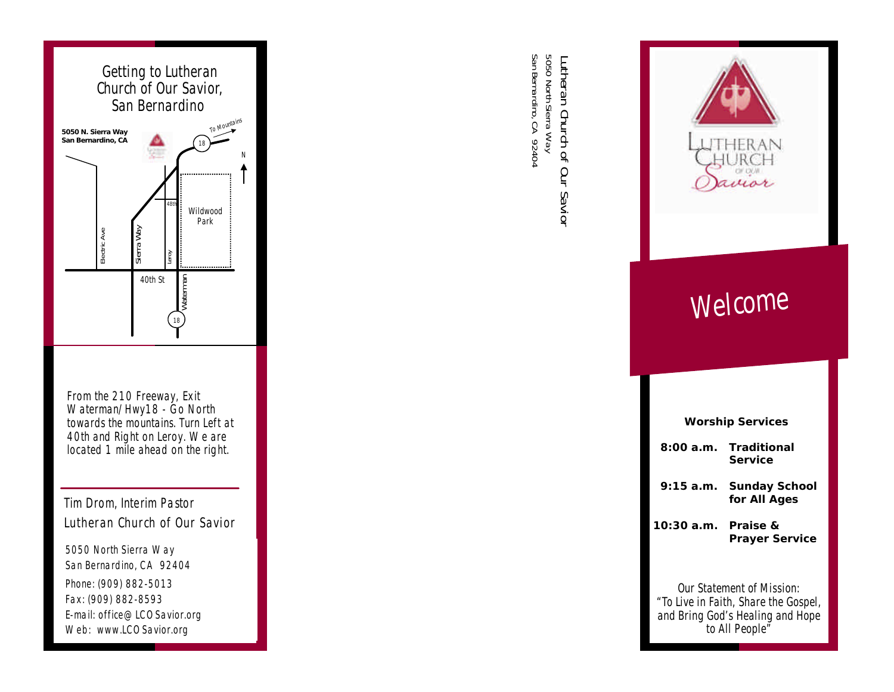

*From the 210 Freeway, Exit Waterman/Hwy18 - Go North towards the mountains. Turn Left at 40th and Right on Leroy. We are located 1 mile ahead on the right.*

Tim Drom, Interim Pastor **Lutheran Church of Our Savior**

5050 North Sierra Way San Bernardino, CA 92404 Phone: (909) 882-5013 Fax: (909) 882-8593 E-mail: office@LCOSavior.org Web: www.LCOSavior.org

Lutheran Church of Our Savior<br>5050 North Sierra Way<br>San Bernardino, CA 92404 San Bernardino, CA 92404 5050 North Sierra Way **Lutheran Church of Our Savior**



# *Welcome*

| <b>Worship Services</b>                                                                                                             |                                              |
|-------------------------------------------------------------------------------------------------------------------------------------|----------------------------------------------|
|                                                                                                                                     | 8:00 a.m. Traditional<br><b>Service</b>      |
| 9:15 a.m.                                                                                                                           | <b>Sunday School</b><br>for All Ages         |
| 10:30 a.m.                                                                                                                          | <b>Praise &amp;</b><br><b>Prayer Service</b> |
| Our Statement of Mission <sup>.</sup><br>"To Live in Faith, Share the Gospel,<br>and Bring God's Healing and Hope<br>to All People" |                                              |